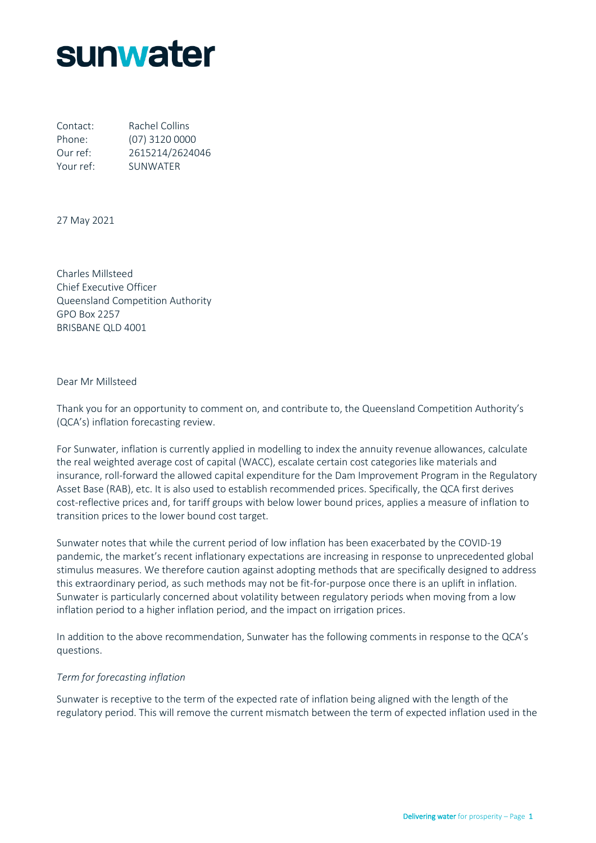# **sunwater**

Contact: Rachel Collins Phone: (07) 3120 0000 Our ref: 2615214/2624046 Your ref: SUNWATER

27 May 2021

Charles Millsteed Chief Executive Officer Queensland Competition Authority GPO Box 2257 BRISBANE QLD 4001

Dear Mr Millsteed

Thank you for an opportunity to comment on, and contribute to, the Queensland Competition Authority's (QCA's) inflation forecasting review.

For Sunwater, inflation is currently applied in modelling to index the annuity revenue allowances, calculate the real weighted average cost of capital (WACC), escalate certain cost categories like materials and insurance, roll-forward the allowed capital expenditure for the Dam Improvement Program in the Regulatory Asset Base (RAB), etc. It is also used to establish recommended prices. Specifically, the QCA first derives cost-reflective prices and, for tariff groups with below lower bound prices, applies a measure of inflation to transition prices to the lower bound cost target.

Sunwater notes that while the current period of low inflation has been exacerbated by the COVID-19 pandemic, the market's recent inflationary expectations are increasing in response to unprecedented global stimulus measures. We therefore caution against adopting methods that are specifically designed to address this extraordinary period, as such methods may not be fit-for-purpose once there is an uplift in inflation. Sunwater is particularly concerned about volatility between regulatory periods when moving from a low inflation period to a higher inflation period, and the impact on irrigation prices.

In addition to the above recommendation, Sunwater has the following comments in response to the QCA's questions.

### *Term for forecasting inflation*

Sunwater is receptive to the term of the expected rate of inflation being aligned with the length of the regulatory period. This will remove the current mismatch between the term of expected inflation used in the